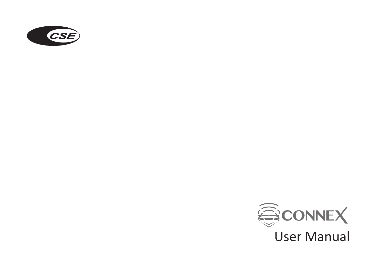

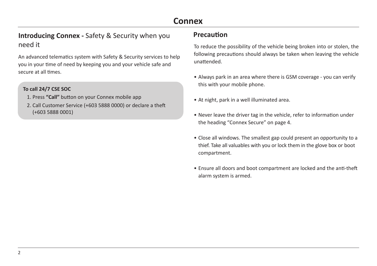# **Connex**

# **Introducing Connex -** Safety & Security when you need it need it the summary setting the vehicle being broken into or stolen, the vehicle being broken into or stolen, the

An advanced telematics system with Safety & Security services to help you in your time of need by keeping you and your vehicle safe and secure at all times.

#### **To call 24/7 CSE SOC**

- 1. Press **"Call"** button on your Connex mobile app
- 2. Call Customer Service (+603 5888 0000) or declare a theft (+603 5888 0001)

#### **Precaution**

following precautions should always be taken when leaving the vehicle unattended.

- Always park in an area where there is GSM coverage you can verify this with your mobile phone.
- At night, park in a well illuminated area.
- Never leave the driver tag in the vehicle, refer to information under the heading "Connex Secure" on page 4.
- Close all windows. The smallest gap could present an opportunity to a thief. Take all valuables with you or lock them in the glove box or boot compartment.
- Ensure all doors and boot compartment are locked and the anti-theft alarm system is armed.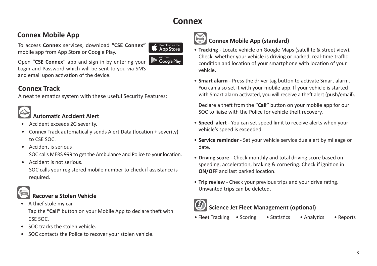# **Connex**

To access **Connex** services, download **"CSE Connex"** mobile app from App Store or Google Play. **Connex Mobile App**<br> **Connex Mobile App (standard)**<br> **Connex Mobile App (standard)**<br> **Connex Mobile App (standard)**<br> **Connex Mobile App (standard)**<br> **Connex Mobile App (standard)** 



**GET IT ON Google Play** 

Open **"CSE Connex"** app and sign in by entering your Login and Password which will be sent to you via SMS and email upon activation of the device.

# **Connex Track**

A neat telematics system with these useful Security Features:



## **Automatic Accident Alert**

- Accident exceeds 2G severity.
- Connex Track automatically sends Alert Data (location + severity) to CSE SOC.
- Accident is serious!

SOC calls MERS 999 to get the Ambulance and Police to your location.

• Accident is not serious.

SOC calls your registered mobile number to check if assistance is required.

# **Recover a Stolen Vehicle**

- A thief stole my car! Tap the **"Call"** button on your Mobile App to declare theft with CSE SOC.
- SOC tracks the stolen vehicle.
- SOC contacts the Police to recover your stolen vehicle.



- **Tracking** Locate vehicle on Google Maps (satellite & street view). Check whether your vehicle is driving or parked, real-time traffic condition and location of your smartphone with location of your vehicle.
- **Smart alarm** Press the driver tag button to activate Smart alarm. You can also set it with your mobile app. If your vehicle is started with Smart alarm activated, you will receive a theft alert (push/email).

Declare a theft from the **"Call"** button on your mobile app for our SOC to liaise with the Police for vehicle theft recovery.

- **Speed alert** You can set speed limit to receive alerts when your vehicle's speed is exceeded.
- **Service reminder** Set your vehicle service due alert by mileage or date.
- **Driving score** Check monthly and total driving score based on speeding, acceleration, braking & cornering. Check if ignition in **ON/OFF** and last parked location.
- **Trip review** Check your previous trips and your drive rating. Unwanted trips can be deleted.



# **Science Jet Fleet Management (optional)**

• Fleet Tracking • Scoring • Statistics • Analytics • Reports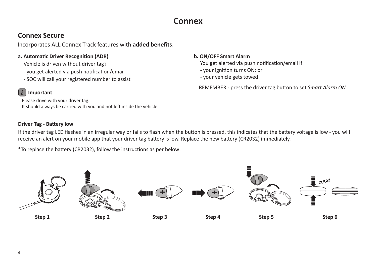### **Connex Secure**

Incorporates ALL Connex Track features with **added benefits**:

#### **a. Automatic Driver Recognition (ADR)**

Vehicle is driven without driver tag?

- you get alerted via push notification/email
- SOC will call your registered number to assist

#### **b. ON/OFF Smart Alarm**

You get alerted via push notification/email if

- your ignition turns ON; or
- your vehicle gets towed

REMEMBER - press the driver tag button to set *Smart Alarm ON*

### *i* **Important**

Please drive with your driver tag. It should always be carried with you and not left inside the vehicle.

#### **Driver Tag - Battery low**

If the driver tag LED flashes in an irregular way or fails to flash when the button is pressed, this indicates that the battery voltage is low - you will receive an alert on your mobile app that your driver tag battery is low. Replace the new battery (CR2032) immediately.

\*To replace the battery (CR2032), follow the instructions as per below:

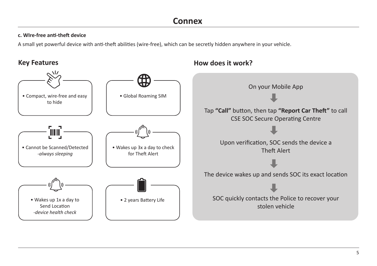#### **c. WIre-free anti-theft device**

A small yet powerful device with anti-theft abilities (wire-free), which can be secretly hidden anywhere in your vehicle.



**Key Features How does it work?**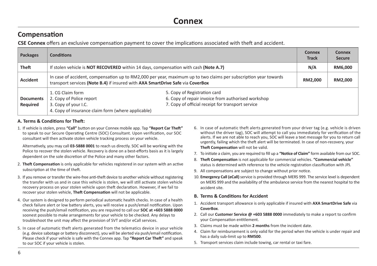### **Compensation**

**CSE Connex** offers an exclusive compensation payment to cover the implications associated with theft and accident.

| <b>Packages</b>              | <b>Conditions</b>                                                                                                                                                                                  |                                                                                                                                         | <b>Connex</b><br><b>Track</b> | Connex<br><b>Secure</b> |
|------------------------------|----------------------------------------------------------------------------------------------------------------------------------------------------------------------------------------------------|-----------------------------------------------------------------------------------------------------------------------------------------|-------------------------------|-------------------------|
| Theft                        | If stolen vehicle is <b>NOT RECOVERED</b> within 14 days, compensation with cash (Note A.7)                                                                                                        |                                                                                                                                         | N/A                           | RM6,000                 |
| <b>Accident</b>              | In case of accident, compensation up to RM2,000 per year, maximum up to two claims per subscription year towards<br>transport services (Note B.4) if insured with AXA SmartDrive Safe via CoverBox |                                                                                                                                         | RM2.000                       | RM2,000                 |
| <b>Documents</b><br>Required | 1. CG Claim form<br>2. Copy of Police report<br>3. Copy of your I.C.<br>4. Copy of insurance claim form (where applicable)                                                                         | 5. Copy of Registration card<br>6. Copy of repair invoice from authorised workshop<br>7. Copy of official receipt for transport service |                               |                         |

#### **A. Terms & Conditions for Theft:**

1. If vehicle is stolen, press **"Call"** button on your Connex mobile app. Tap **"Report Car Theft"** to speak to our Secure Operating Centre (SOC) Consultant. Upon verification, our SOC consultant will then activate stolen vehicle tracking process on your vehicle.

Alternatively, you may call **03-5888 0001** to reach us directly. SOC will be working with the Police to recover the stolen vehicle. Recovery is done on a best-efforts basis as it is largely dependent on the sole discretion of the Police and many other factors.

- 2. **Theft Compensation** is only applicable for vehicles registered in our system with an active subscription at the time of theft.
- 3. If you remove or transfer the wire-free anti-theft device to another vehicle without registering the transfer with us and in case this vehicle is stolen, we will still activate stolen vehicle recovery process on your stolen vehicle upon theft declaration. However, if we fail to recover your stolen vehicle, **Theft Compensation** will not be applicable.
- 4. Our system is designed to perform periodical automatic health checks. In case of a health check failure alert or low battery alerts, you will receive a push/email notification. Upon receiving the push/email notification, you are required to call our **SOC at +603 5888 0000**  soonest possible to make arrangements for your vehicle to be checked. Any delays to troubleshoot the unit may affect the provision of SVT and/or eCall services.
- 5. In case of automatic theft alerts generated from the telematics device in your vehicle (e.g. device sabotage or battery disconnect), you will be alerted via push/email notification. Please check if your vehicle is safe with the Connex app. Tap **"Report Car Theft"** and speak to our SOC if your vehicle is stolen.
- 6. In case of automatic theft alerts generated from your driver tag (e.g. vehicle is driven without the driver tag), SOC will attempt to call you immediately for verification of the alerts. If we are not able to reach you, SOC will leave a text message for you to return call urgently, failing which the theft alert will be terminated. In case of non-recovery, your **Theft Compensation** will not be valid.
- 7. To initiate a claim, you are required to fill up a **"Notice of Claim"** form available from our SOC.
- 8. **Theft Compensation** is not applicable for commercial vehicles. **"Commercial vehicle"** status is determined with reference to the vehicle registration classification with JPJ.
- 9. All compensations are subject to change without prior notice.
- 10. **Emergency Call (eCall)** service is provided through MERS 999. The service level is dependent on MERS 999 and the availability of the ambulance service from the nearest hospital to the accident site.

#### **B. Terms & Conditions for Accident**

- 1. Accident transport allowance is only applicable if insured with **AXA SmartDrive Safe** via **CoverBox**.
- 2. Call our **Customer Service @ +603 5888 0000** immediately to make a report to confirm your Compensation entitlement.
- 3. Claims must be made within **2 months** from the incident date.
- 4. Claim for reimbursement is only valid for the period when the vehicle is under repair and has a daily sub-limit up to **RM500**.
- 5. Transport services claim include towing, car rental or taxi fare.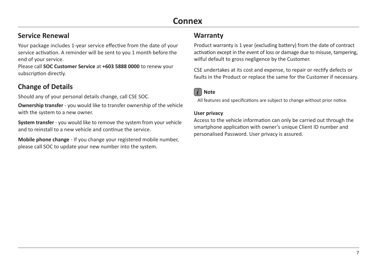# **Connex**

## **Service Renewal**

Your package includes 1-year service effective from the date of your service activation. A reminder will be sent to you 1 month before the end of your service.

Please call **SOC Customer Service** at **+603 5888 0000** to renew your subscription directly.

# **Change of Details**

Should any of your personal details change, call CSE SOC.

**Ownership transfer** - you would like to transfer ownership of the vehicle with the system to a new owner.

**System transfer** - you would like to remove the system from your vehicle and to reinstall to a new vehicle and continue the service.

**Mobile phone change** - If you change your registered mobile number, please call SOC to update your new number into the system.

### **Warranty**

Product warranty is 1 year (excluding battery) from the date of contract activation except in the event of loss or damage due to misuse, tampering, wilful default to gross negligence by the Customer.

CSE undertakes at its cost and expense, to repair or rectify defects or faults in the Product or replace the same for the Customer if necessary.



All features and specifications are subject to change without prior notice.

#### **User privacy**

Access to the vehicle information can only be carried out through the smartphone application with owner's unique Client ID number and personalised Password. User privacy is assured.